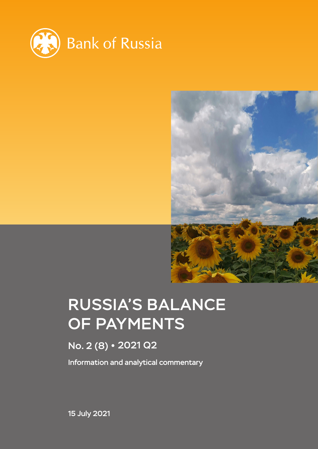



# RUSSIA'S BALANCE OF PAYMENTS

# No. 2 (8) · 2021 Q2

Information and analytical commentary

15 July 2021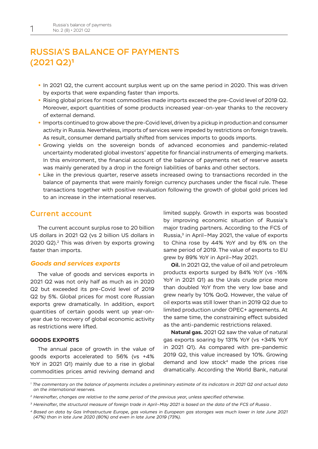# RUSSIA'S BALANCE OF PAYMENTS (2021 Q2)1

- **•** In 2021 Q2, the current account surplus went up on the same period in 2020. This was driven by exports that were expanding faster than imports.
- **•** Rising global prices for most commodities made imports exceed the pre-Covid level of 2019 Q2. Moreover, export quantities of some products increased year-on-year thanks to the recovery of external demand.
- **•** Imports continued to grow above the pre-Covid level, driven by a pickup in production and consumer activity in Russia. Nevertheless, imports of services were impeded by restrictions on foreign travels. As result, consumer demand partially shifted from services imports to goods imports.
- **•** Growing yields on the sovereign bonds of advanced economies and pandemic-related uncertainty moderated global investors' appetite for financial instruments of emerging markets. In this environment, the financial account of the balance of payments net of reserve assets was mainly generated by a drop in the foreign liabilities of banks and other sectors.
- **•** Like in the previous quarter, reserve assets increased owing to transactions recorded in the balance of payments that were mainly foreign currency purchases under the fiscal rule. These transactions together with positive revaluation following the growth of global gold prices led to an increase in the international reserves.

# Current account

The current account surplus rose to 20 billion US dollars in 2021 Q2 (vs 2 billion US dollars in 2020 Q2).2 This was driven by exports growing faster than imports.

# *Goods and services exports*

The value of goods and services exports in 2021 Q2 was not only half as much as in 2020 Q2 but exceeded its pre-Covid level of 2019 Q2 by 5%. Global prices for most core Russian exports grew dramatically. In addition, export quantities of certain goods went up year-onyear due to recovery of global economic activity as restrictions were lifted.

### **GOODS EXPORTS**

The annual pace of growth in the value of goods exports accelerated to 56% (vs +4% YoY in 2021 Q1) mainly due to a rise in global commodities prices amid reviving demand and limited supply. Growth in exports was boosted by improving economic situation of Russia's major trading partners. According to the FCS of Russia,3 in April–May 2021, the value of exports to China rose by 44% YoY and by 6% on the same period of 2019. The value of exports to EU grew by 89% YoY in April–May 2021.

**Oil.** In 2021 Q2, the value of oil and petroleum products exports surged by 84% YoY (vs -16% YoY in 2021 Q1) as the Urals crude price more than doubled YoY from the very low base and grew nearly by 10% QoQ. However, the value of oil exports was still lower than in 2019 Q2 due to limited production under OPEC+ agreements. At the same time, the constraining effect subsided as the anti-pandemic restrictions relaxed.

**Natural gas.** 2021 Q2 saw the value of natural gas exports soaring by 131% YoY (vs +34% YoY in 2021 Q1). As compared with pre-pandemic 2019 Q2, this value increased by 10%. Growing demand and low stock $4$  made the prices rise dramatically. According the World Bank, natural

*<sup>1</sup> The commentary on the balance of payments includes a preliminary estimate of its indicators in 2021 Q2 and actual data on the international reserves.*

*<sup>2</sup> Hereinafter, changes are relative to the same period of the previous year, unless specified otherwise.* 

*<sup>3</sup> Hereinafter, the structural measure of foreign trade in April–May 2021 is based on the data of the FCS of Russia .* 

*<sup>4</sup> Based on data by Gas Infrastructure Europe, gas volumes in European gas storages was much lower in late June 2021 (47%) than in late June 2020 (80%) and even in late June 2019 (73%).*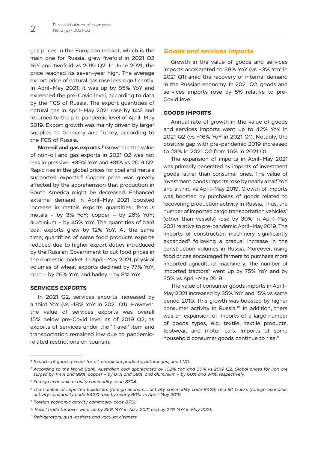gas prices in the European market, which is the main one for Russia, grew fivefold in 2021 Q2 YoY and twofold vs 2019 Q2. In June 2021, the price reached its seven-year high. The average export price of natural gas rose less significantly. In April–May 2021, it was up by 85% YoY and exceeded the pre-Covid level, according to data by the FCS of Russia. The export quantities of natural gas in April–May 2021 rose by 14% and returned to the pre-pandemic level of April–May 2019. Export growth was mainly driven by larger supplies to Germany and Turkey, according to the FCS of Russia.

**Non-oil and gas exports.<sup>5</sup> Growth in the value** of non-oil and gas exports in 2021 Q2 was not less impressive: +39% YoY and +31% vs 2019 Q2. Rapid rise in the global prices for coal and metals supported exports.<sup>6</sup> Copper price was greatly affected by the apprehension that production in South America might be decreased. Enhanced external demand in April–May 2021 boosted increase in metals exports quantities: ferrous metals – by 3% YoY; copper – by 26% YoY; aluminium – by 45% YoY. The quantities of hard coal exports grew by 12% YoY. At the same time, quantities of some food products exports reduced due to higher export duties introduced by the Russian Government to cut food prices in the domestic market. In April–May 2021, physical volumes of wheat exports declined by 77% YoY, corn – by 26% YoY, and barley – by 8% YoY.

# **SERVICES EXPORTS**

In 2021 Q2, services exports increased by a third YoY (vs -18% YoY in 2021 Q1). However, the value of services exports was overall 15% below pre-Covid level as of 2019 Q2, as exports of services under the 'Travel' item and transportation remained low due to pandemicrelated restrictions on tourism.

# *Goods and services imports*

Growth in the value of goods and services imports accelerated to 38% YoY (vs +3% YoY in 2021 Q1) amid the recovery of internal demand in the Russian economy. In 2021 Q2, goods and services imports rose by 5% relative to pre-Covid level.

# **GOODS IMPORTS**

Annual rate of growth in the value of goods and services imports went up to 42% YoY in 2021 Q2 (vs +16% YoY in 2021 Q1). Notably, the positive gap with pre-pandemic 2019 increased to 23% in 2021 Q2 from 16% in 2021 Q1.

The expansion of imports in April–May 2021 was primarily generated by imports of investment goods rather than consumer ones. The value of investment goods imports rose by nearly a half YoY and a third vs April–May 2019. Growth of imports was boosted by purchases of goods related to recovering production activity in Russia. Thus, the number of imported cargo transportation vehicles<sup>7</sup> (other than vessels) rose by 30% in April–May 2021 relative to pre-pandemic April–May 2019. The imports of construction machinery significantly expanded<sup>8</sup> following a gradual increase in the construction volumes in Russia. Moreover, rising food prices encouraged farmers to purchase more imported agricultural machinery. The number of imported tractors<sup>9</sup> went up by 75% YoY and by 35% vs April–May 2019.

The value of consumer goods imports in April– May 2021 increased by 35% YoY and 15% vs same period 2019. This growth was boosted by higher consumer activity in Russia.<sup>10</sup> In addition, there was an expansion of imports of a large number of goods types, e.g. textile, textile products, footwear, and motor cars. Imports of some household consumer goods continue to rise.<sup>11</sup>

*<sup>5</sup> Exports of goods except for oil, petroleum products, natural gas, and LNG.*

*<sup>6</sup> According to the World Bank, Australian coal appreciated by 102% YoY and 36% vs 2019 Q2. Global prices for iron ore surged by 114% and 99%, copper – by 81% and 59%, and aluminium – by 60% and 34%, respectively.* 

*<sup>7</sup> Foreign economic activity commodity code 8704.*

*<sup>8</sup> The number of imported bulldozers (foreign economic activity commodity code 8429) and lift trucks (foreign economic activity commodity code 8427) rose by nearly 60% vs April–May 2019.* 

*<sup>9</sup> Foreign economic activity commodity code 8701.*

*<sup>10</sup> Retail trade turnover went up by 35% YoY in April 2021 and by 27% YoY in May 2021.*

*<sup>11</sup> Refrigerators, dish washers and vacuum cleaners.*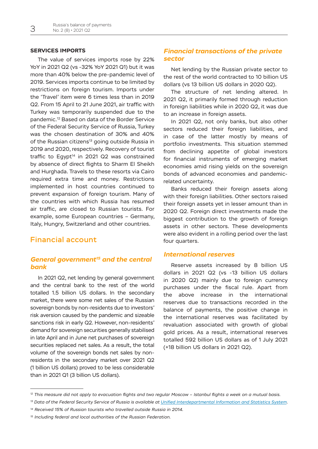### **SERVICES IMPORTS**

The value of services imports rose by 22% YoY in 2021 Q2 (vs -32% YoY 2021 Q1) but it was more than 40% below the pre-pandemic level of 2019. Services imports continue to be limited by restrictions on foreign tourism. Imports under the 'Travel' item were 6 times less than in 2019 Q2. From 15 April to 21 June 2021, air traffic with Turkey was temporarily suspended due to the pandemic.12 Based on data of the Border Service of the Federal Security Service of Russia, Turkey was the chosen destination of 30% and 40% of the Russian citizens<sup>13</sup> going outside Russia in 2019 and 2020, respectively. Recovery of tourist traffic to Egypt $14$  in 2021 Q2 was constrained by absence of direct flights to Sharm El Sheikh and Hurghada. Travels to these resorts via Cairo required extra time and money. Restrictions implemented in host countries continued to prevent expansion of foreign tourism. Many of the countries with which Russia has resumed air traffic, are closed to Russian tourists. For example, some European countries – Germany, Italy, Hungry, Switzerland and other countries.

# Financial account

# *General government15 and the central bank*

In 2021 Q2, net lending by general government and the central bank to the rest of the world totalled 1.5 billion US dollars. In the secondary market, there were some net sales of the Russian sovereign bonds by non-residents due to investors' risk aversion caused by the pandemic and sizeable sanctions risk in early Q2. However, non-residents' demand for sovereign securities generally stabilised in late April and in June net purchases of sovereign securities replaced net sales. As a result, the total volume of the sovereign bonds net sales by nonresidents in the secondary market over 2021 Q2 (1 billion US dollars) proved to be less considerable than in 2021 Q1 (3 billion US dollars).

# *Financial transactions of the private sector*

Net lending by the Russian private sector to the rest of the world contracted to 10 billion US dollars (vs 13 billion US dollars in 2020 Q2).

The structure of net lending altered. In 2021 Q2, it primarily formed through reduction in foreign liabilities while in 2020 Q2, it was due to an increase in foreign assets.

In 2021 Q2, not only banks, but also other sectors reduced their foreign liabilities, and in case of the latter mostly by means of portfolio investments. This situation stemmed from declining appetite of global investors for financial instruments of emerging market economies amid rising yields on the sovereign bonds of advanced economies and pandemicrelated uncertainty.

Banks reduced their foreign assets along with their foreign liabilities. Other sectors raised their foreign assets yet in lesser amount than in 2020 Q2. Foreign direct investments made the biggest contribution to the growth of foreign assets in other sectors. These developments were also evident in a rolling period over the last four quarters.

# *International reserves*

Reserve assets increased by 8 billion US dollars in 2021 Q2 (vs -13 billion US dollars in 2020 Q2) mainly due to foreign currency purchases under the fiscal rule. Apart from the above increase in the international reserves due to transactions recorded in the balance of payments, the positive change in the international reserves was facilitated by revaluation associated with growth of global gold prices. As a result, international reserves totalled 592 billion US dollars as of 1 July 2021 (+18 billion US dollars in 2021 Q2).

*<sup>12</sup> This measure did not apply to evacuation flights and two regular Moscow – Istanbul flights a week on a mutual basis.* 

*<sup>13</sup> Data of the Federal Security Service of Russia is available at [Unified Interdepartmental Information and Statistics System.](http://www.fedstat.ru)* 

*<sup>14</sup> Received 15% of Russian tourists who travelled outside Russia in 2014.*

*<sup>15</sup> Including federal and local authorities of the Russian Federation.*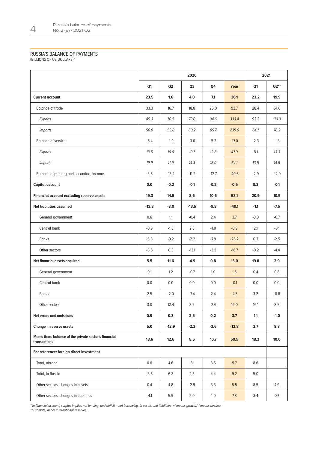#### RUSSIA'S BALANCE OF PAYMENTS

(BILLIONS OF US DOLLARS)\*

|                                                                      |                | 2020           |         |         |         |        | 2021      |  |
|----------------------------------------------------------------------|----------------|----------------|---------|---------|---------|--------|-----------|--|
|                                                                      | Q <sub>1</sub> | Q <sub>2</sub> | Q3      | Q4      | Year    | Q1     | $Q2^{**}$ |  |
| <b>Current account</b>                                               | 23.5           | 1.6            | 4.0     | 7.1     | 36.1    | 23.2   | 19.9      |  |
| <b>Balance of trade</b>                                              | 33.3           | 16.7           | 18.8    | 25.0    | 93.7    | 28.4   | 34.0      |  |
| Exports                                                              | 89.3           | 70.5           | 79.0    | 94.6    | 333.4   | 93.2   | 110.3     |  |
| <b>Imports</b>                                                       | 56.0           | 53.8           | 60.2    | 69.7    | 239.6   | 64.7   | 76.2      |  |
| <b>Balance of services</b>                                           | $-6.4$         | $-1.9$         | $-3.6$  | $-5.2$  | $-17.0$ | $-2.3$ | $-1.3$    |  |
| Exports                                                              | 13.5           | 10.0           | 10.7    | 12.8    | 47.0    | 11.1   | 13.3      |  |
| <i>Imports</i>                                                       | 19.9           | 11.9           | 14.3    | 18.0    | 64.1    | 13.5   | 14.5      |  |
| Balance of primary and secondary income                              | $-3.5$         | $-13.2$        | $-11.2$ | $-12.7$ | $-40.6$ | $-2.9$ | $-12.9$   |  |
| Capital account                                                      | 0.0            | $-0.2$         | $-0.1$  | $-0.2$  | $-0.5$  | 0.3    | $-0.1$    |  |
| Financial account excluding reserve assets                           | 19.3           | 14.5           | 8.6     | 10.6    | 53.1    | 20.9   | 10.5      |  |
| Net liabilities assumed                                              | $-13.8$        | $-3.0$         | $-13.5$ | $-9.8$  | $-40.1$ | $-1.1$ | $-7.6$    |  |
| General government                                                   | 0.6            | 1.1            | $-0.4$  | 2.4     | 3.7     | $-3.3$ | $-0.7$    |  |
| Central bank                                                         | $-0.9$         | $-1.3$         | 2.3     | $-1.0$  | $-0.9$  | 2.1    | $-0.1$    |  |
| <b>Banks</b>                                                         | $-6.8$         | $-9.2$         | $-2.2$  | $-7.9$  | $-26.2$ | 0.3    | $-2.5$    |  |
| Other sectors                                                        | $-6.6$         | 6.3            | $-13.1$ | $-3.3$  | $-16.7$ | $-0.2$ | $-4.4$    |  |
| Net financial assets acquired                                        | 5.5            | 11.6           | $-4.9$  | 0.8     | 13.0    | 19.8   | 2.9       |  |
| General government                                                   | 0.1            | 1.2            | $-0.7$  | 1.0     | 1.6     | 0.4    | 0.8       |  |
| Central bank                                                         | 0.0            | 0.0            | 0.0     | 0.0     | $-0.1$  | 0.0    | 0.0       |  |
| <b>Banks</b>                                                         | 2.5            | $-2.0$         | $-7.4$  | 2.4     | $-4.5$  | 3.2    | $-6.8$    |  |
| Other sectors                                                        | 3.0            | 12.4           | 3.2     | $-2.6$  | 16.0    | 16.1   | 8.9       |  |
| Net errors and omissions                                             | 0.9            | 0.3            | 2.5     | 0.2     | 3.7     | 1.1    | $-1.0$    |  |
| Change in reserve assets                                             | 5.0            | $-12.9$        | $-2.3$  | $-3.6$  | $-13.8$ | 3.7    | 8.3       |  |
| Memo item: balance of the private sector's financial<br>transactions | 18.6           | 12.6           | 8.5     | 10.7    | 50.5    | 18.3   | 10.0      |  |
| For reference: foreign direct investment                             |                |                |         |         |         |        |           |  |
| Total, abroad                                                        | 0.6            | 4.6            | $-3.1$  | 3.5     | 5.7     | 8.6    |           |  |
| Total, in Russia                                                     | $-3.8$         | 6.3            | 2.3     | 4.4     | 9.2     | 5.0    |           |  |
| Other sectors, changes in assets                                     | 0.4            | 4.8            | $-2.9$  | 3.3     | 5.5     | 8.5    | 4.9       |  |
| Other sectors, changes in liabilities                                | $-4.1$         | 5.9            | 2.0     | 4.0     | 7.8     | 3.4    | 0.7       |  |

\* In financial account, surplus implies net lending, and deficit – net borrowing. In assets and liabilities '+' means growth,'-' means decline.

\*\* Estimate, net of international reserves.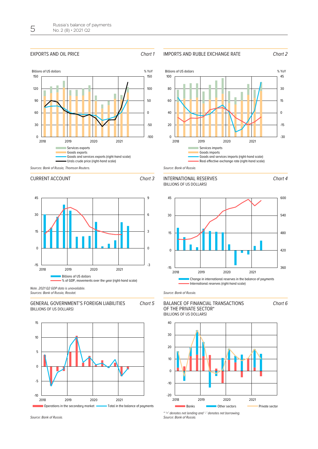#### EXPORTS AND OIL PRICE **Chart 1**

#### IMPORTS AND RUBLE EXCHANGE RATE Chart *2*







Billions of US dollars  $\%$  YoY

#### CURRENT ACCOUNT CHART **3**



Sources: Bank of Russia, Rosstat.

GENERAL GOVERNMENT'S FOREIGN LIABILITIES (BILLIONS OF US DOLLARS) Chart *5*







Source: Bank of Russia.

#### **EXAMPLE 2022**<br>(BILLIONS OF US DOLLARS) BALANCE OF FINANCIAL TRANSACTIONS OF THE PRIVATE SECTOR\*



\* '+' denotes net lending and '-' denotes net borrowing. Source: Bank of Russia.



Chart *4*

Chart *6*